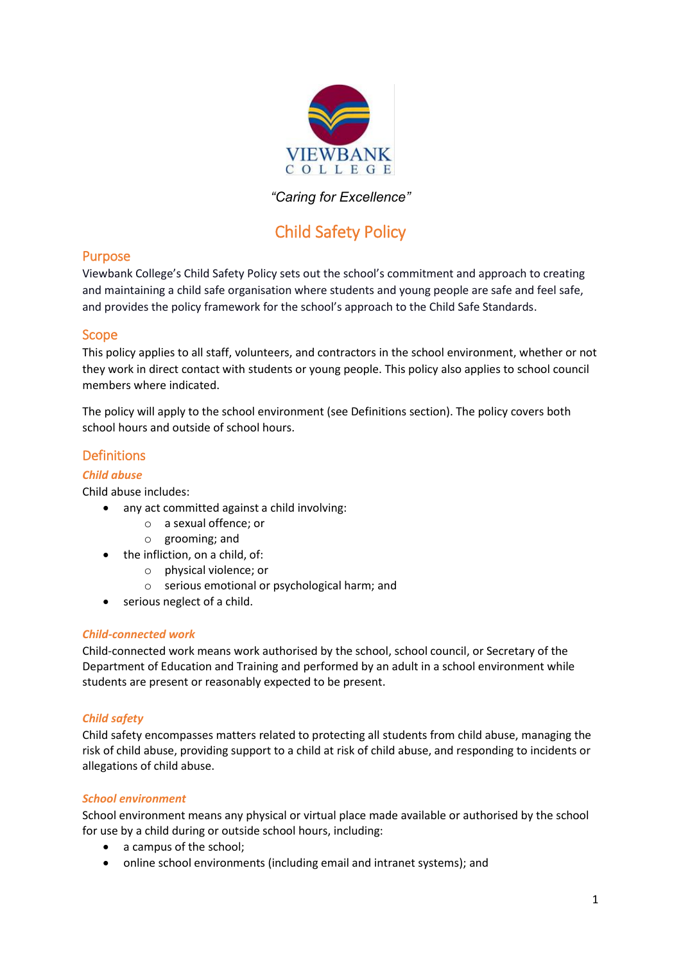

# *"Caring for Excellence"*

# Child Safety Policy

## Purpose

Viewbank College's Child Safety Policy sets out the school's commitment and approach to creating and maintaining a child safe organisation where students and young people are safe and feel safe, and provides the policy framework for the school's approach to the Child Safe Standards.

#### Scope

This policy applies to all staff, volunteers, and contractors in the school environment, whether or not they work in direct contact with students or young people. This policy also applies to school council members where indicated.

The policy will apply to the school environment (see Definitions section). The policy covers both school hours and outside of school hours.

# **Definitions**

#### *Child abuse*

Child abuse includes:

- any act committed against a child involving:
	- o a sexual offence; or
	- o grooming; and
- the infliction, on a child, of:
	- o physical violence; or
	- o serious emotional or psychological harm; and
- serious neglect of a child.

#### *Child-connected work*

Child-connected work means work authorised by the school, school council, or Secretary of the Department of Education and Training and performed by an adult in a school environment while students are present or reasonably expected to be present.

#### *Child safety*

Child safety encompasses matters related to protecting all students from child abuse, managing the risk of child abuse, providing support to a child at risk of child abuse, and responding to incidents or allegations of child abuse.

#### *School environment*

School environment means any physical or virtual place made available or authorised by the school for use by a child during or outside school hours, including:

- a campus of the school;
- online school environments (including email and intranet systems); and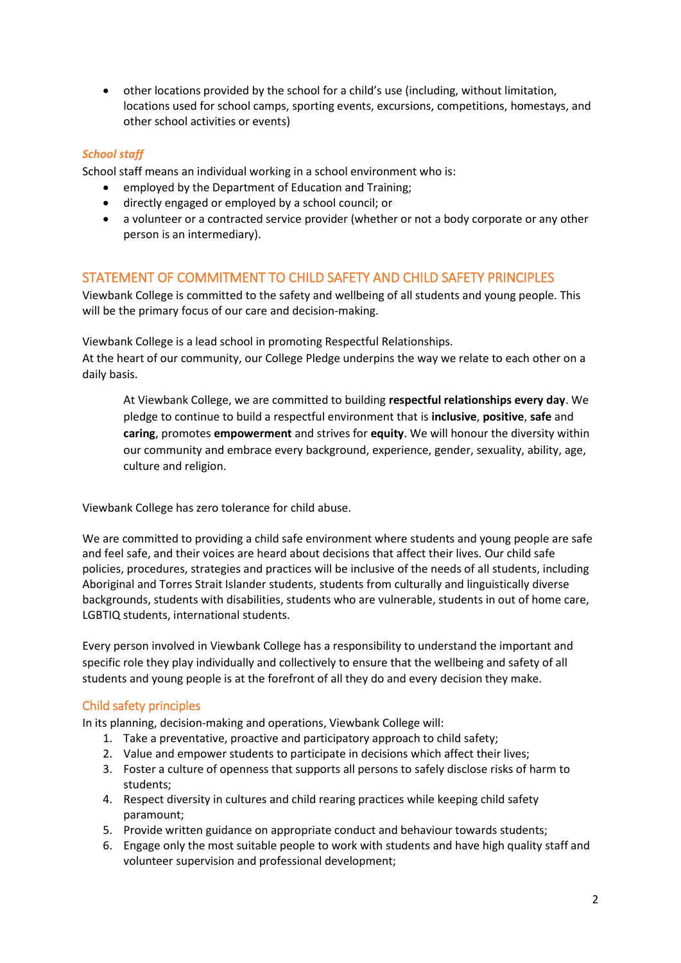other locations provided by the school for a child's use (including, without limitation, locations used for school camps, sporting events, excursions, competitions, homestays, and other school activities or events)

#### *School staff*

School staff means an individual working in a school environment who is:

- employed by the Department of Education and Training;
- directly engaged or employed by a school council; or
- a volunteer or a contracted service provider (whether or not a body corporate or any other person is an intermediary).

## STATEMENT OF COMMITMENT TO CHILD SAFETY AND CHILD SAFETY PRINCIPLES

Viewbank College is committed to the safety and wellbeing of all students and young people. This will be the primary focus of our care and decision-making.

Viewbank College is a lead school in promoting Respectful Relationships.

At the heart of our community, our College Pledge underpins the way we relate to each other on a daily basis.

At Viewbank College, we are committed to building **respectful relationships every day**. We pledge to continue to build a respectful environment that is **inclusive**, **positive**, **safe** and **caring**, promotes **empowerment** and strives for **equity**. We will honour the diversity within our community and embrace every background, experience, gender, sexuality, ability, age, culture and religion.

Viewbank College has zero tolerance for child abuse.

We are committed to providing a child safe environment where students and young people are safe and feel safe, and their voices are heard about decisions that affect their lives. Our child safe policies, procedures, strategies and practices will be inclusive of the needs of all students, including Aboriginal and Torres Strait Islander students, students from culturally and linguistically diverse backgrounds, students with disabilities, students who are vulnerable, students in out of home care, LGBTIQ students, international students.

Every person involved in Viewbank College has a responsibility to understand the important and specific role they play individually and collectively to ensure that the wellbeing and safety of all students and young people is at the forefront of all they do and every decision they make.

#### Child safety principles

In its planning, decision-making and operations, Viewbank College will:

- 1. Take a preventative, proactive and participatory approach to child safety;
- 2. Value and empower students to participate in decisions which affect their lives;
- 3. Foster a culture of openness that supports all persons to safely disclose risks of harm to students;
- 4. Respect diversity in cultures and child rearing practices while keeping child safety paramount;
- 5. Provide written guidance on appropriate conduct and behaviour towards students;
- 6. Engage only the most suitable people to work with students and have high quality staff and volunteer supervision and professional development;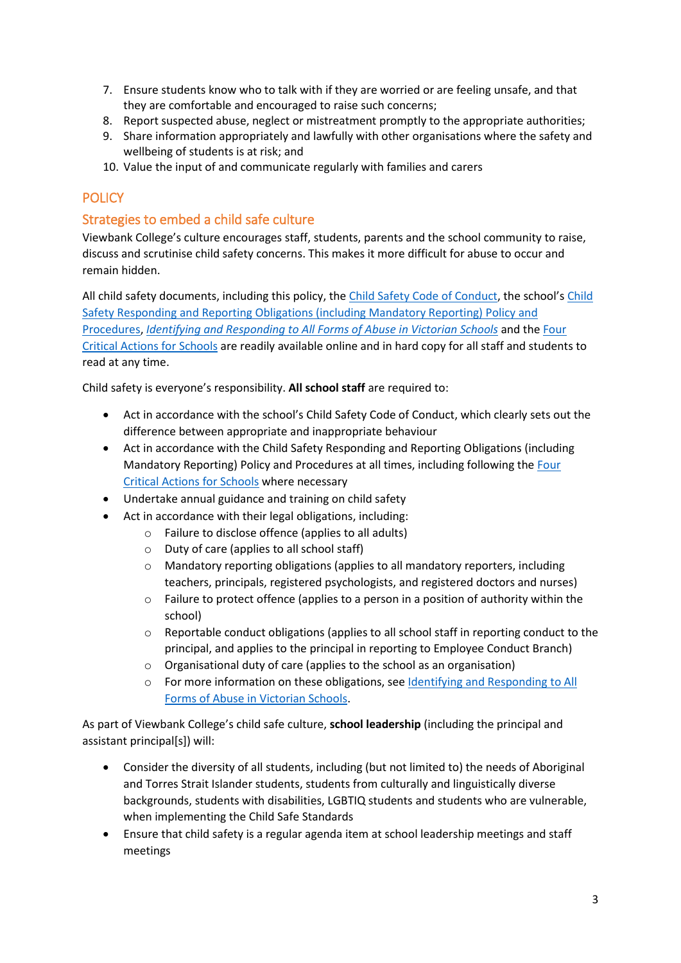- 7. Ensure students know who to talk with if they are worried or are feeling unsafe, and that they are comfortable and encouraged to raise such concerns;
- 8. Report suspected abuse, neglect or mistreatment promptly to the appropriate authorities;
- 9. Share information appropriately and lawfully with other organisations where the safety and wellbeing of students is at risk; and
- 10. Value the input of and communicate regularly with families and carers

# **POLICY**

# Strategies to embed a child safe culture

Viewbank College's culture encourages staff, students, parents and the school community to raise, discuss and scrutinise child safety concerns. This makes it more difficult for abuse to occur and remain hidden.

All child safety documents, including this policy, the [Child Safety Code of Conduct](https://viewbank.vic.edu.au/wp-content/uploads/2020/03/Child-Safety-Code-of-Conduct.pdf), the school's [Child](https://www.viewbank.vic.edu.au/wp-content/uploads/2021/05/Child-Safety-Responding-and-Reporting-Obligations-Policy-and-Procedures.pdf)  Safety Responding and Reporting Obligations [\(including Mandatory Reporting\)](https://www.viewbank.vic.edu.au/wp-content/uploads/2021/05/Child-Safety-Responding-and-Reporting-Obligations-Policy-and-Procedures.pdf) Policy and [Procedures,](https://www.viewbank.vic.edu.au/wp-content/uploads/2021/05/Child-Safety-Responding-and-Reporting-Obligations-Policy-and-Procedures.pdf) *[Identifying and Responding to All Forms of Abuse in Victorian Schools](https://www.education.vic.gov.au/Documents/about/programs/health/protect/ChildSafeStandard5_SchoolsGuide.pdf)* and th[e Four](https://www.education.vic.gov.au/Documents/about/programs/health/protect/FourCriticalActions_ChildAbuse.pdf)  [Critical Actions for Schools](https://www.education.vic.gov.au/Documents/about/programs/health/protect/FourCriticalActions_ChildAbuse.pdf) are readily available online and in hard copy for all staff and students to read at any time.

Child safety is everyone's responsibility. **All school staff** are required to:

- Act in accordance with the school's Child Safety Code of Conduct, which clearly sets out the difference between appropriate and inappropriate behaviour
- Act in accordance with the Child Safety Responding and Reporting Obligations (including Mandatory Reporting) Policy and Procedures at all times, including following th[e Four](https://www.education.vic.gov.au/Documents/about/programs/health/protect/FourCriticalActions_ChildAbuse.pdf)  [Critical Actions for Schools](https://www.education.vic.gov.au/Documents/about/programs/health/protect/FourCriticalActions_ChildAbuse.pdf) where necessary
- Undertake annual guidance and training on child safety
- Act in accordance with their legal obligations, including:
	- o Failure to disclose offence (applies to all adults)
	- o Duty of care (applies to all school staff)
	- o Mandatory reporting obligations (applies to all mandatory reporters, including teachers, principals, registered psychologists, and registered doctors and nurses)
	- o Failure to protect offence (applies to a person in a position of authority within the school)
	- $\circ$  Reportable conduct obligations (applies to all school staff in reporting conduct to the principal, and applies to the principal in reporting to Employee Conduct Branch)
	- o Organisational duty of care (applies to the school as an organisation)
	- o For more information on these obligations, see [Identifying and Responding to All](https://www.education.vic.gov.au/Documents/about/programs/health/protect/ChildSafeStandard5_SchoolsGuide.pdf)  [Forms of Abuse in Victorian Schools.](https://www.education.vic.gov.au/Documents/about/programs/health/protect/ChildSafeStandard5_SchoolsGuide.pdf)

As part of Viewbank College's child safe culture, **school leadership** (including the principal and assistant principal[s]) will:

- Consider the diversity of all students, including (but not limited to) the needs of Aboriginal and Torres Strait Islander students, students from culturally and linguistically diverse backgrounds, students with disabilities, LGBTIQ students and students who are vulnerable, when implementing the Child Safe Standards
- Ensure that child safety is a regular agenda item at school leadership meetings and staff meetings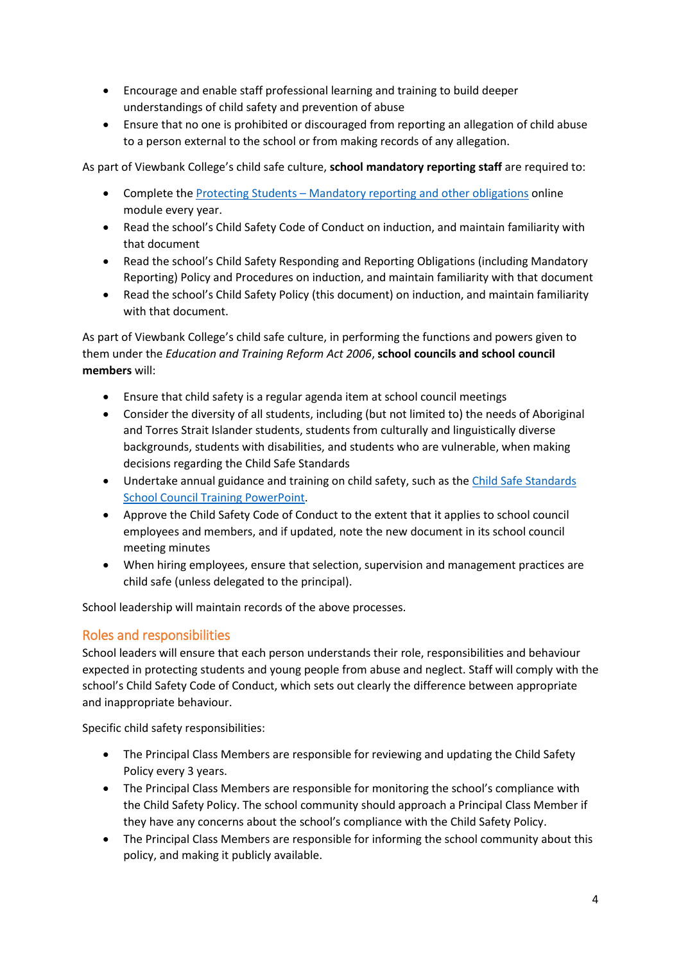- Encourage and enable staff professional learning and training to build deeper understandings of child safety and prevention of abuse
- Ensure that no one is prohibited or discouraged from reporting an allegation of child abuse to a person external to the school or from making records of any allegation.

As part of Viewbank College's child safe culture, **school mandatory reporting staff** are required to:

- Complete the Protecting Students [Mandatory reporting and other obligations](http://elearn.com.au/det/protectingchildren/) online module every year.
- Read the school's Child Safety Code of Conduct on induction, and maintain familiarity with that document
- Read the school's Child Safety Responding and Reporting Obligations (including Mandatory Reporting) Policy and Procedures on induction, and maintain familiarity with that document
- Read the school's Child Safety Policy (this document) on induction, and maintain familiarity with that document.

As part of Viewbank College's child safe culture, in performing the functions and powers given to them under the *Education and Training Reform Act 2006*, **school councils and school council members** will:

- Ensure that child safety is a regular agenda item at school council meetings
- Consider the diversity of all students, including (but not limited to) the needs of Aboriginal and Torres Strait Islander students, students from culturally and linguistically diverse backgrounds, students with disabilities, and students who are vulnerable, when making decisions regarding the Child Safe Standards
- Undertake annual guidance and training on child safety, such as the Child Safe Standards [School Council Training](https://www.education.vic.gov.au/Documents/about/programs/health/protect/school-council-training.pptx) PowerPoint.
- Approve the Child Safety Code of Conduct to the extent that it applies to school council employees and members, and if updated, note the new document in its school council meeting minutes
- When hiring employees, ensure that selection, supervision and management practices are child safe (unless delegated to the principal).

School leadership will maintain records of the above processes.

# Roles and responsibilities

School leaders will ensure that each person understands their role, responsibilities and behaviour expected in protecting students and young people from abuse and neglect. Staff will comply with the school's Child Safety Code of Conduct, which sets out clearly the difference between appropriate and inappropriate behaviour.

Specific child safety responsibilities:

- The Principal Class Members are responsible for reviewing and updating the Child Safety Policy every 3 years.
- The Principal Class Members are responsible for monitoring the school's compliance with the Child Safety Policy. The school community should approach a Principal Class Member if they have any concerns about the school's compliance with the Child Safety Policy.
- The Principal Class Members are responsible for informing the school community about this policy, and making it publicly available.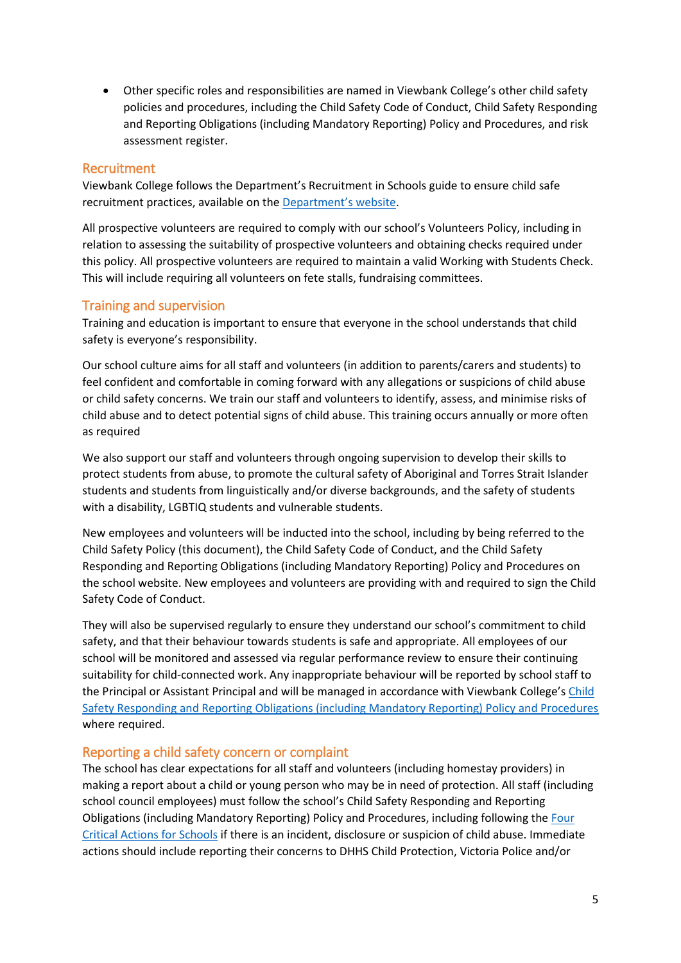Other specific roles and responsibilities are named in Viewbank College's other child safety policies and procedures, including the Child Safety Code of Conduct, Child Safety Responding and Reporting Obligations (including Mandatory Reporting) Policy and Procedures, and risk assessment register.

## Recruitment

Viewbank College follows the Department's Recruitment in Schools guide to ensure child safe recruitment practices, available on the [Department'](https://www.education.vic.gov.au/hrweb/careers/Pages/recruitinsch.aspx)s website.

All prospective volunteers are required to comply with our school's Volunteers Policy, including in relation to assessing the suitability of prospective volunteers and obtaining checks required under this policy. All prospective volunteers are required to maintain a valid Working with Students Check. This will include requiring all volunteers on fete stalls, fundraising committees.

# Training and supervision

Training and education is important to ensure that everyone in the school understands that child safety is everyone's responsibility.

Our school culture aims for all staff and volunteers (in addition to parents/carers and students) to feel confident and comfortable in coming forward with any allegations or suspicions of child abuse or child safety concerns. We train our staff and volunteers to identify, assess, and minimise risks of child abuse and to detect potential signs of child abuse. This training occurs annually or more often as required

We also support our staff and volunteers through ongoing supervision to develop their skills to protect students from abuse, to promote the cultural safety of Aboriginal and Torres Strait Islander students and students from linguistically and/or diverse backgrounds, and the safety of students with a disability, LGBTIQ students and vulnerable students.

New employees and volunteers will be inducted into the school, including by being referred to the Child Safety Policy (this document), the Child Safety Code of Conduct, and the Child Safety Responding and Reporting Obligations (including Mandatory Reporting) Policy and Procedures on the school website. New employees and volunteers are providing with and required to sign the Child Safety Code of Conduct.

They will also be supervised regularly to ensure they understand our school's commitment to child safety, and that their behaviour towards students is safe and appropriate. All employees of our school will be monitored and assessed via regular performance review to ensure their continuing suitability for child-connected work. Any inappropriate behaviour will be reported by school staff to the Principal or Assistant Principal and will be managed in accordance with Viewbank College's Child Safety Responding and Reporting Obligations [\(including Mandatory Reporting\) Policy and Procedures](https://www.viewbank.vic.edu.au/wp-content/uploads/2021/05/Child-Safety-Responding-and-Reporting-Obligations-Policy-and-Procedures.pdf) where required.

## Reporting a child safety concern or complaint

The school has clear expectations for all staff and volunteers (including homestay providers) in making a report about a child or young person who may be in need of protection. All staff (including school council employees) must follow the school's Child Safety Responding and Reporting Obligations (including Mandatory Reporting) Policy and Procedures, including following th[e Four](https://www.education.vic.gov.au/Documents/about/programs/health/protect/FourCriticalActions_ChildAbuse.pdf)  [Critical Actions for Schools](https://www.education.vic.gov.au/Documents/about/programs/health/protect/FourCriticalActions_ChildAbuse.pdf) if there is an incident, disclosure or suspicion of child abuse. Immediate actions should include reporting their concerns to DHHS Child Protection, Victoria Police and/or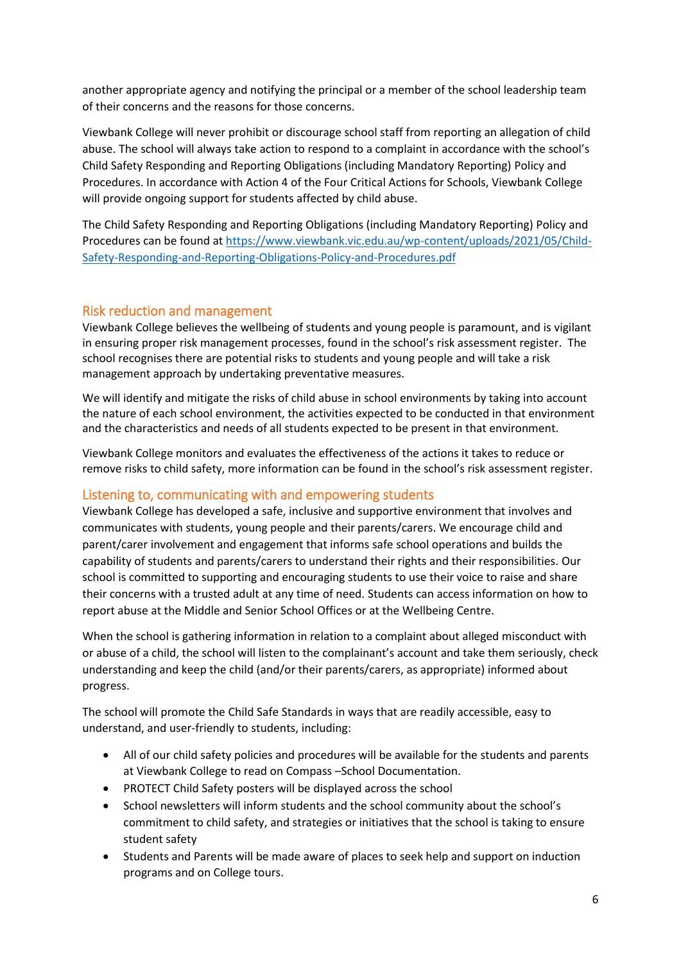another appropriate agency and notifying the principal or a member of the school leadership team of their concerns and the reasons for those concerns.

Viewbank College will never prohibit or discourage school staff from reporting an allegation of child abuse. The school will always take action to respond to a complaint in accordance with the school's Child Safety Responding and Reporting Obligations (including Mandatory Reporting) Policy and Procedures. In accordance with Action 4 of the Four Critical Actions for Schools, Viewbank College will provide ongoing support for students affected by child abuse.

The Child Safety Responding and Reporting Obligations (including Mandatory Reporting) Policy and Procedures can be found at [https://www.viewbank.vic.edu.au/wp-content/uploads/2021/05/Child-](https://www.viewbank.vic.edu.au/wp-content/uploads/2021/05/Child-Safety-Responding-and-Reporting-Obligations-Policy-and-Procedures.pdf)[Safety-Responding-and-Reporting-Obligations-Policy-and-Procedures.pdf](https://www.viewbank.vic.edu.au/wp-content/uploads/2021/05/Child-Safety-Responding-and-Reporting-Obligations-Policy-and-Procedures.pdf)

## Risk reduction and management

Viewbank College believes the wellbeing of students and young people is paramount, and is vigilant in ensuring proper risk management processes, found in the school's risk assessment register. The school recognises there are potential risks to students and young people and will take a risk management approach by undertaking preventative measures.

We will identify and mitigate the risks of child abuse in school environments by taking into account the nature of each school environment, the activities expected to be conducted in that environment and the characteristics and needs of all students expected to be present in that environment.

Viewbank College monitors and evaluates the effectiveness of the actions it takes to reduce or remove risks to child safety, more information can be found in the school's risk assessment register.

# Listening to, communicating with and empowering students

Viewbank College has developed a safe, inclusive and supportive environment that involves and communicates with students, young people and their parents/carers. We encourage child and parent/carer involvement and engagement that informs safe school operations and builds the capability of students and parents/carers to understand their rights and their responsibilities. Our school is committed to supporting and encouraging students to use their voice to raise and share their concerns with a trusted adult at any time of need. Students can access information on how to report abuse at the Middle and Senior School Offices or at the Wellbeing Centre.

When the school is gathering information in relation to a complaint about alleged misconduct with or abuse of a child, the school will listen to the complainant's account and take them seriously, check understanding and keep the child (and/or their parents/carers, as appropriate) informed about progress.

The school will promote the Child Safe Standards in ways that are readily accessible, easy to understand, and user-friendly to students, including:

- All of our child safety policies and procedures will be available for the students and parents at Viewbank College to read on Compass –School Documentation.
- PROTECT Child Safety posters will be displayed across the school
- School newsletters will inform students and the school community about the school's commitment to child safety, and strategies or initiatives that the school is taking to ensure student safety
- Students and Parents will be made aware of places to seek help and support on induction programs and on College tours.